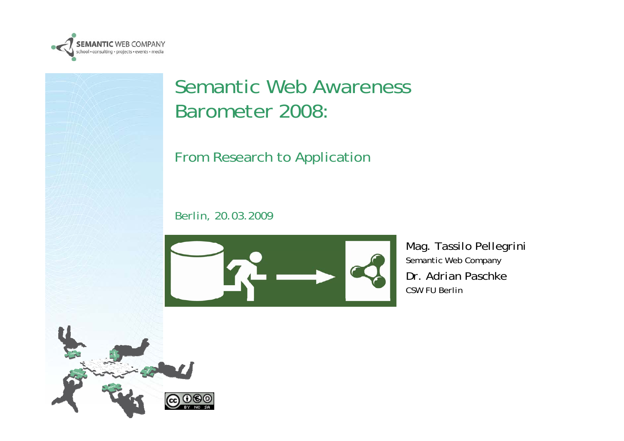

#### Semantic Web Awareness Barometer 2008:

#### From Research to Application

*Berlin, 20.03.2009*



*Mag. Tassilo Pellegrini Semantic Web Company Dr. Adrian PaschkeCSW FU Berlin*

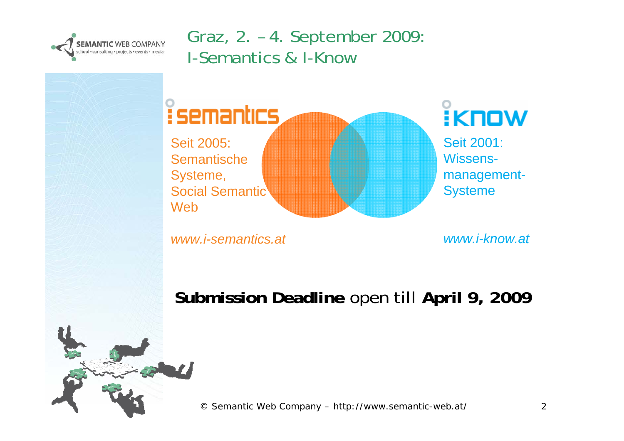

#### Graz, 2. – 4. September 2009: I-Semantics & I-Know



*www.i-semantics.at*

*www.i-know.at*

**Submission Deadline** open till **April 9, 2009**

© Semantic Web Company – http://www.semantic-web.at/ 2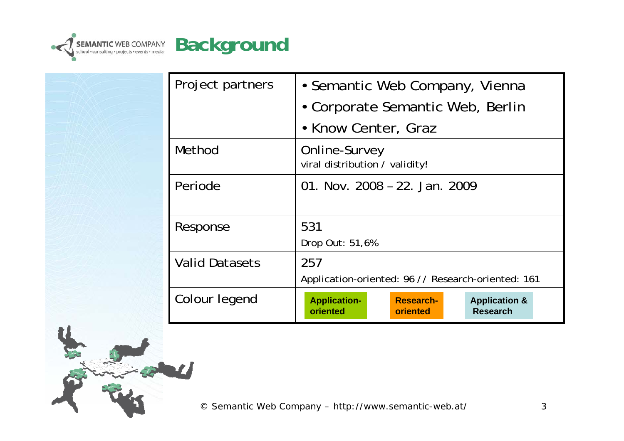

| Project partners      | • Semantic Web Company, Vienna                                                                                 |
|-----------------------|----------------------------------------------------------------------------------------------------------------|
|                       | • Corporate Semantic Web, Berlin                                                                               |
|                       | • Know Center, Graz                                                                                            |
| Method                | Online-Survey<br>viral distribution / validity!                                                                |
| Periode               | 01. Nov. 2008 - 22. Jan. 2009                                                                                  |
| Response              | 531                                                                                                            |
|                       | Drop Out: 51,6%                                                                                                |
| <b>Valid Datasets</b> | 257                                                                                                            |
|                       | Application-oriented: 96 // Research-oriented: 161                                                             |
| Colour legend         | <b>Research-</b><br><b>Application-</b><br><b>Application &amp;</b><br>oriented<br><b>Research</b><br>oriented |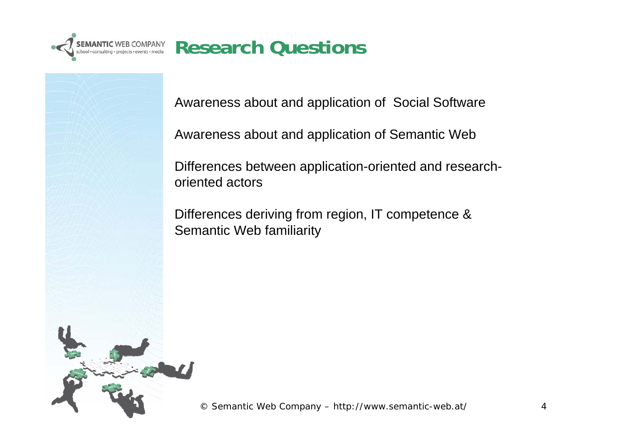

Awareness about and application of Social Software

Awareness about and application of Semantic Web

Differences between application-oriented and researchoriented actors

Differences deriving from region, IT competence & Semantic Web familiarity

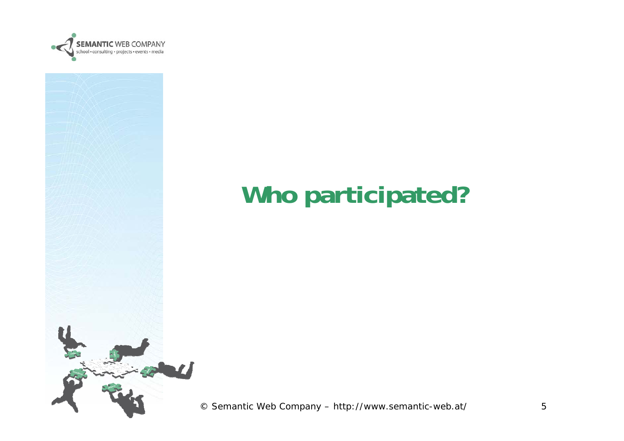



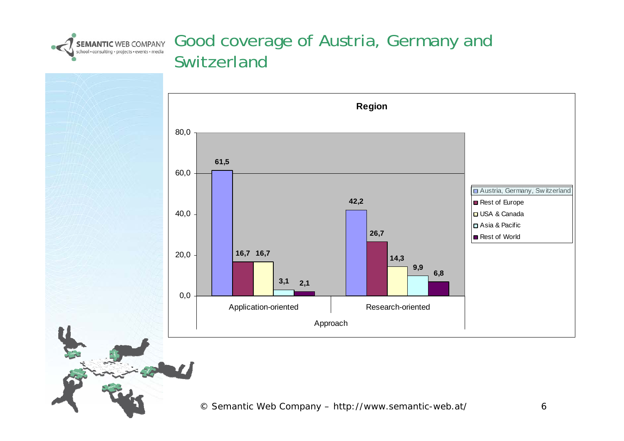

#### Good coverage of Austria, Germany and Switzerland

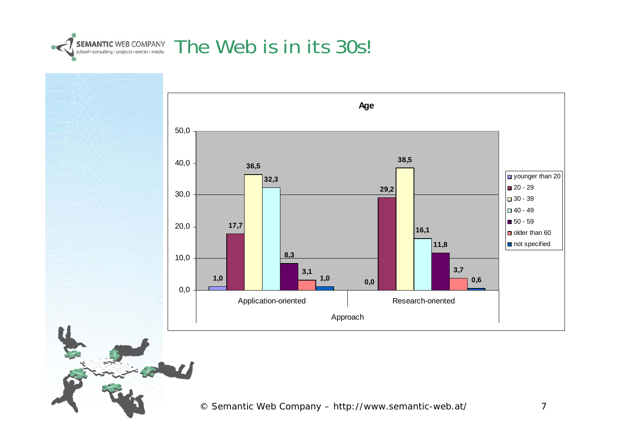

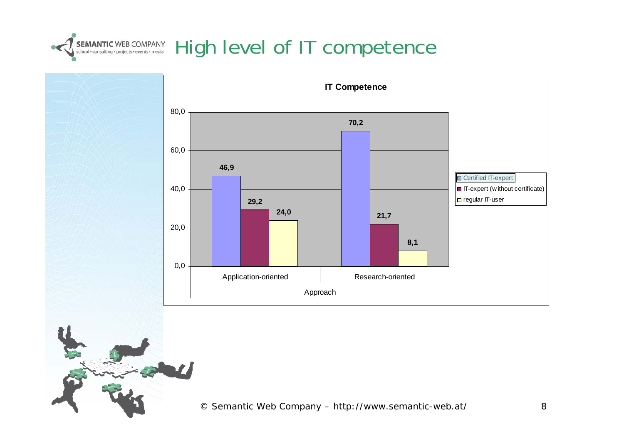

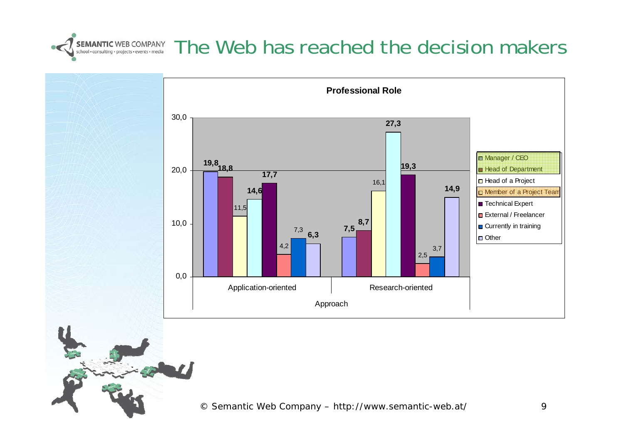

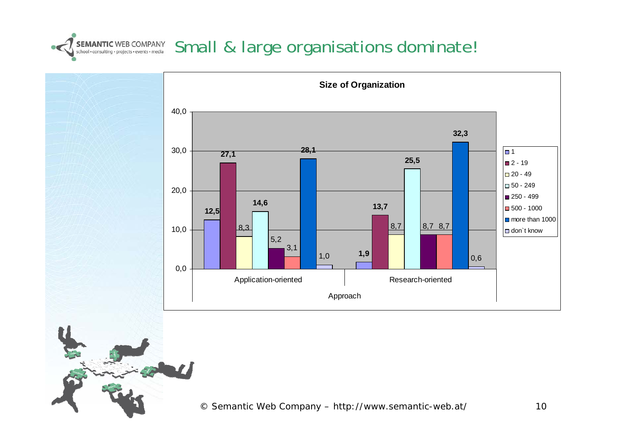### SEMANTIC WEB COMPANY Small & large organisations dominate!

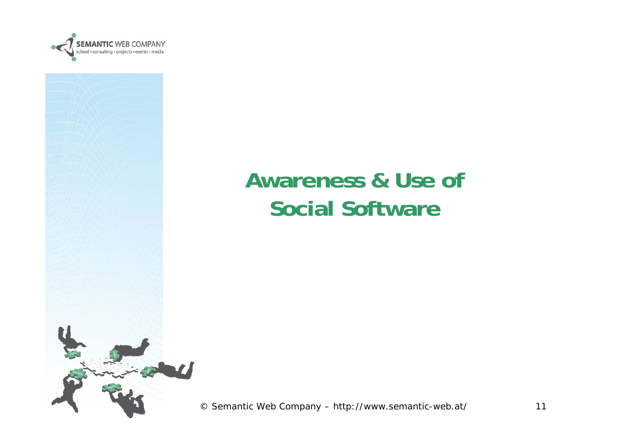



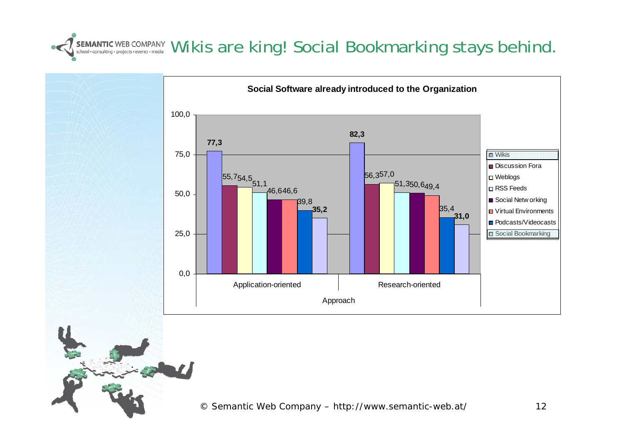#### SEMANTIC WEB COMPANY WIKIS are king! Social Bookmarking stays behind.

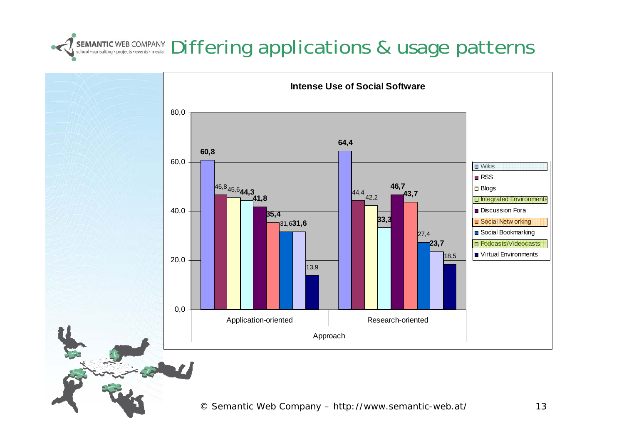# SEMANTIC WEB COMPANY Differing applications & usage patterns

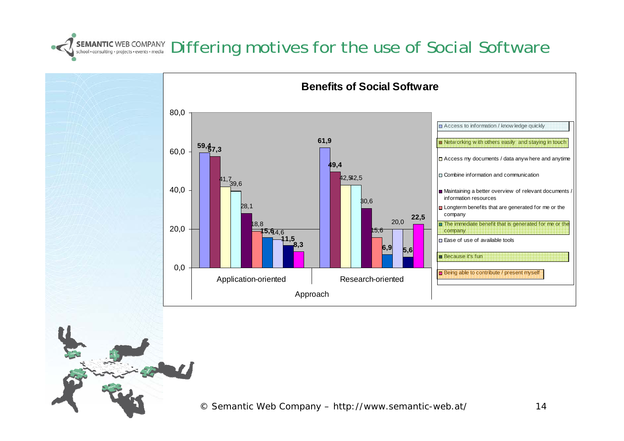#### SEMANTIC WEB COMPANY Differing moditives for the use of Social Software

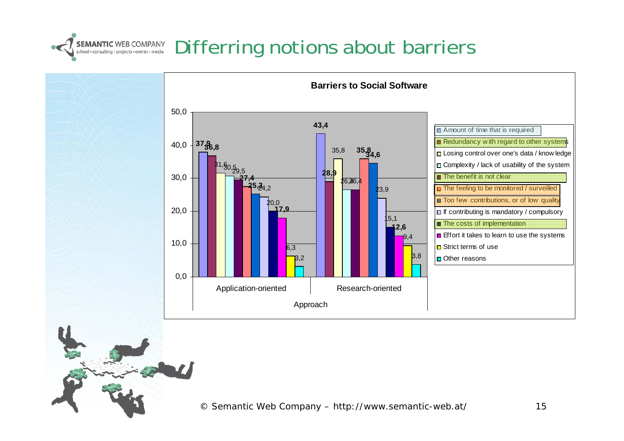### SEMANTIC WEB COMPANY Differring notions about barriers

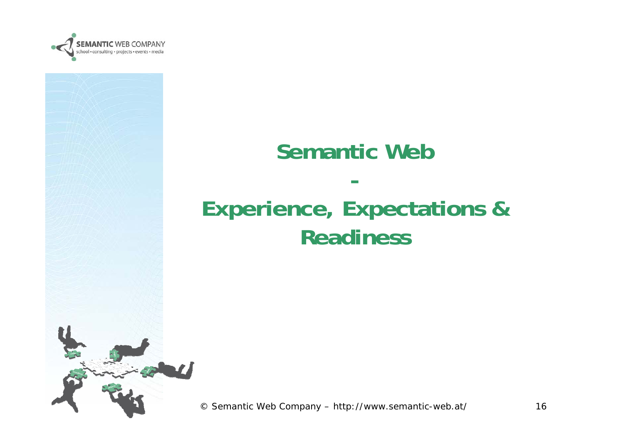

### **Semantic Web-Experience, Expectations & Readiness**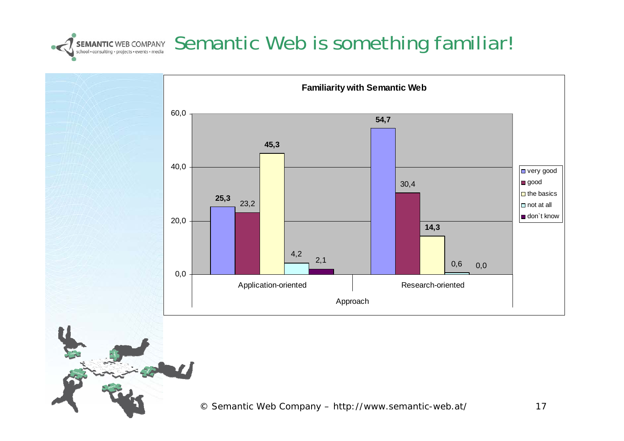# SEMANTIC WEB COMPANY Semantic WEB COMPANY Semantic and Semantic Web is something familiar!

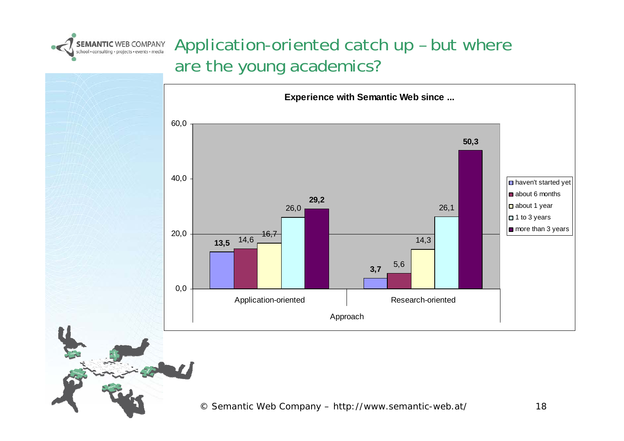

#### Application-oriented catch up – but where are the young academics?

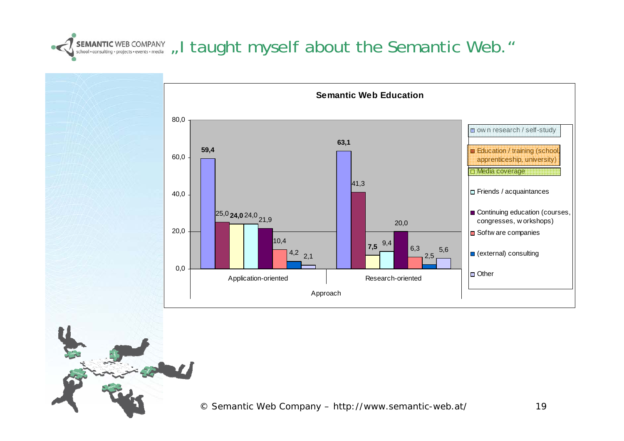

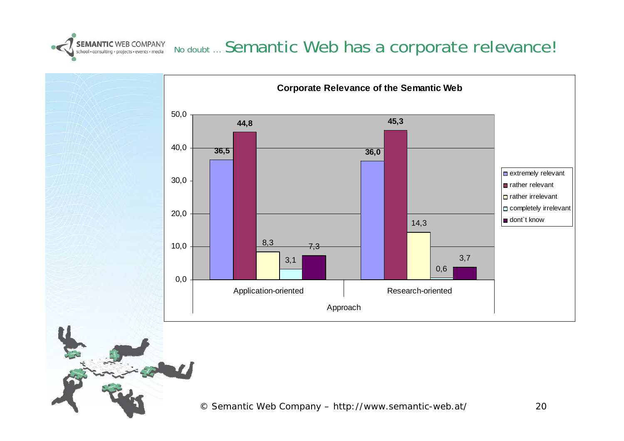

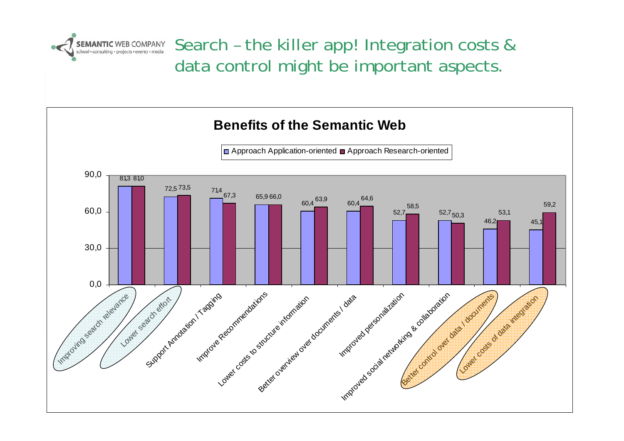

SEMANTIC WEB COMPANY Search - the killer app! Integration costs & data control might be important aspects.

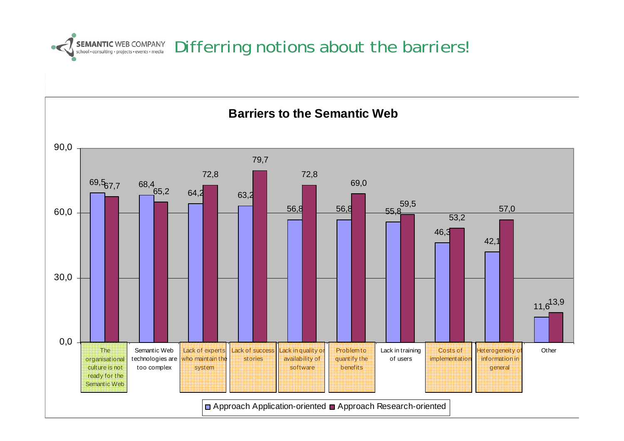

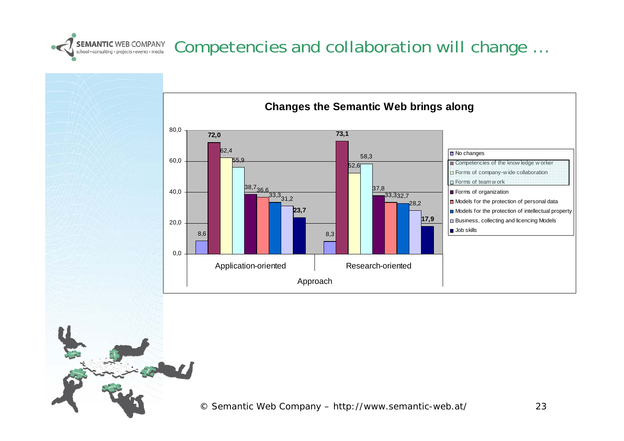# SEMANTIC WEB COMPANY Competencies and collaboration will change ...

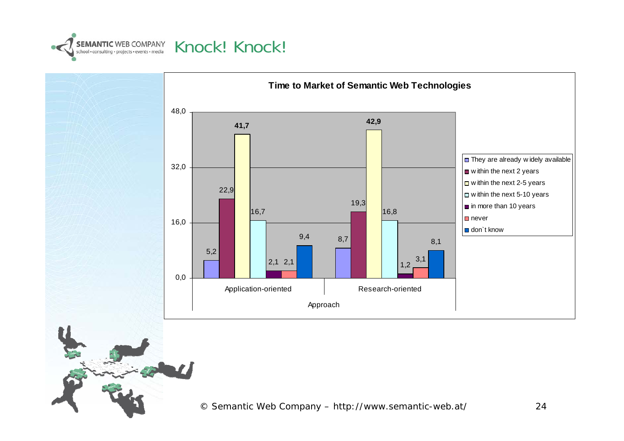



© Semantic Web Company – http://www.semantic-web.at/ 24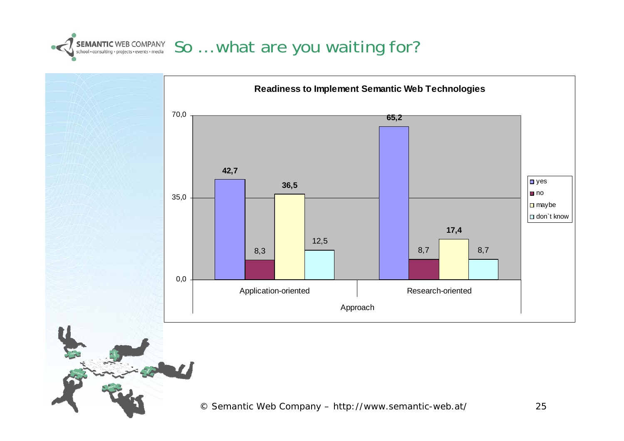

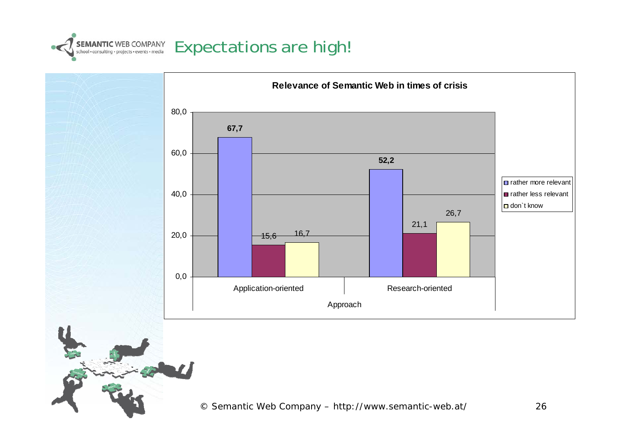

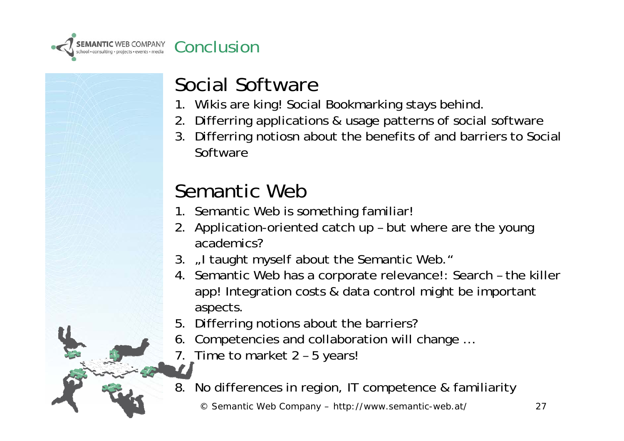

#### Social Software

- 1. Wikis are king! Social Bookmarking stays behind.
- 2. Differring applications & usage patterns of social software
- 3. Differring notiosn about the benefits of and barriers to Social Software

### Semantic Web

- 1. Semantic Web is something familiar!
- 2. Application-oriented catch up but where are the young academics?
- 3. "I taught myself about the Semantic Web."
- 4. Semantic Web has a corporate relevance!: Search the killer app! Integration costs & data control might be important aspects.
- 5. Differring notions about the barriers?
- 6. Competencies and collaboration will change …
- 7. Time to market 2 5 years!
- 8. No differences in region, IT competence & familiarity

© Semantic Web Company – http://www.semantic-web.at/ 27